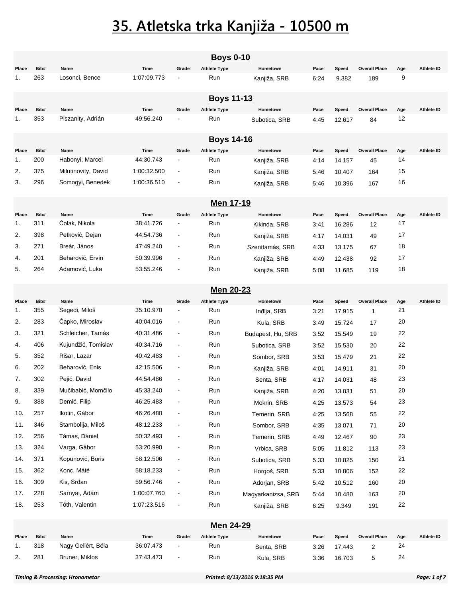|       | <b>Boys 0-10</b> |                     |             |                          |                     |                    |      |        |                      |        |                   |  |  |
|-------|------------------|---------------------|-------------|--------------------------|---------------------|--------------------|------|--------|----------------------|--------|-------------------|--|--|
| Place | Bib#             | Name                | Time        | Grade                    | <b>Athlete Type</b> | Hometown           | Pace | Speed  | <b>Overall Place</b> | Age    | <b>Athlete ID</b> |  |  |
| 1.    | 263              | Losonci, Bence      | 1:07:09.773 |                          | Run                 | Kanjiža, SRB       | 6:24 | 9.382  | 189                  | 9      |                   |  |  |
|       |                  |                     |             |                          | <b>Boys 11-13</b>   |                    |      |        |                      |        |                   |  |  |
| Place | Bib#             | Name                | Time        | Grade                    | <b>Athlete Type</b> | Hometown           | Pace | Speed  | <b>Overall Place</b> | Age    | <b>Athlete ID</b> |  |  |
| 1.    | 353              | Piszanity, Adrián   | 49:56.240   |                          | Run                 | Subotica, SRB      | 4:45 | 12.617 | 84                   | 12     |                   |  |  |
|       |                  |                     |             |                          | <b>Boys 14-16</b>   |                    |      |        |                      |        |                   |  |  |
| Place | Bib#             | Name                | Time        | Grade                    | <b>Athlete Type</b> | Hometown           | Pace | Speed  | <b>Overall Place</b> | Age    | <b>Athlete ID</b> |  |  |
| 1.    | 200              | Habonyi, Marcel     | 44:30.743   |                          | Run                 | Kanjiža, SRB       | 4:14 | 14.157 | 45                   | 14     |                   |  |  |
| 2.    | 375              | Milutinovity, David | 1:00:32.500 | $\overline{\phantom{a}}$ | Run                 | Kanjiža, SRB       | 5:46 | 10.407 | 164                  | 15     |                   |  |  |
| 3.    | 296              | Somogyi, Benedek    | 1:00:36.510 | $\blacksquare$           | Run                 | Kanjiža, SRB       | 5:46 | 10.396 | 167                  | 16     |                   |  |  |
|       |                  |                     |             |                          | Men 17-19           |                    |      |        |                      |        |                   |  |  |
| Place | Bib#             | Name                | Time        | Grade                    | <b>Athlete Type</b> | Hometown           | Pace | Speed  | <b>Overall Place</b> | Age    | <b>Athlete ID</b> |  |  |
| 1.    | 311              | Čolak, Nikola       | 38:41.726   |                          | Run                 | Kikinda, SRB       | 3:41 | 16.286 | 12                   | 17     |                   |  |  |
| 2.    | 398              | Petković, Dejan     | 44:54.736   | $\overline{\phantom{a}}$ | Run                 | Kanjiža, SRB       | 4:17 | 14.031 | 49                   | 17     |                   |  |  |
| 3.    | 271              | Breár, János        | 47:49.240   | $\blacksquare$           | Run                 | Szenttamás, SRB    | 4:33 | 13.175 | 67                   | 18     |                   |  |  |
| 4.    | 201              | Beharović, Ervin    | 50:39.996   | $\blacksquare$           | Run                 | Kanjiža, SRB       | 4:49 | 12.438 | 92                   | 17     |                   |  |  |
| 5.    | 264              | Adamović, Luka      | 53:55.246   |                          | Run                 | Kanjiža, SRB       | 5:08 | 11.685 | 119                  | 18     |                   |  |  |
|       | <b>Men 20-23</b> |                     |             |                          |                     |                    |      |        |                      |        |                   |  |  |
| Place | Bib#             | Name                | Time        | Grade                    | <b>Athlete Type</b> | Hometown           | Pace | Speed  | <b>Overall Place</b> | Age    | <b>Athlete ID</b> |  |  |
| 1.    | 355              | Segedi, Miloš       | 35:10.970   |                          | Run                 | Indija, SRB        | 3:21 | 17.915 | $\mathbf{1}$         | 21     |                   |  |  |
| 2.    | 283              | Čapko, Miroslav     | 40:04.016   | $\overline{\phantom{a}}$ | Run                 | Kula, SRB          | 3:49 | 15.724 | 17                   | 20     |                   |  |  |
| 3.    | 321              | Schleicher, Tamás   | 40:31.486   | $\blacksquare$           | Run                 | Budapest, Hu, SRB  | 3:52 | 15.549 | 19                   | 22     |                   |  |  |
| 4.    | 406              | Kujunđžić, Tomislav | 40:34.716   | $\blacksquare$           | Run                 | Subotica, SRB      | 3:52 | 15.530 | 20                   | 22     |                   |  |  |
| 5.    | 352              | Rišar, Lazar        | 40:42.483   | $\blacksquare$           | Run                 | Sombor, SRB        | 3:53 | 15.479 | 21                   | 22     |                   |  |  |
| 6.    | 202              | Beharović, Enis     | 42:15.506   | $\blacksquare$           | Run                 | Kanjiža, SRB       | 4:01 | 14.911 | 31                   | 20     |                   |  |  |
| 7.    | 302              | Pejić, David        | 44:54.486   | $\blacksquare$           | Run                 | Senta, SRB         | 4:17 | 14.031 | 48                   | 23     |                   |  |  |
| 8.    | 339              | Mučibabić, Momčilo  | 45:33.240   |                          | Run                 | Kanjiža, SRB       | 4:20 | 13.831 | 51                   | $20\,$ |                   |  |  |
| 9.    | 388              | Demić, Filip        | 46:25.483   | $\blacksquare$           | Run                 | Mokrin, SRB        | 4:25 | 13.573 | 54                   | 23     |                   |  |  |
| 10.   | 257              | Ikotin, Gábor       | 46:26.480   | $\overline{\phantom{a}}$ | Run                 | Temerin, SRB       | 4:25 | 13.568 | 55                   | 22     |                   |  |  |
| 11.   | 346              | Stambolija, Miloš   | 48:12.233   | $\blacksquare$           | Run                 | Sombor, SRB        | 4:35 | 13.071 | 71                   | 20     |                   |  |  |
| 12.   | 256              | Támas, Dániel       | 50:32.493   | $\overline{\phantom{a}}$ | Run                 | Temerin, SRB       | 4:49 | 12.467 | 90                   | 23     |                   |  |  |
| 13.   | 324              | Varga, Gábor        | 53:20.990   | $\blacksquare$           | Run                 | Vrbica, SRB        | 5:05 | 11.812 | 113                  | 23     |                   |  |  |
| 14.   | 371              | Kopunović, Boris    | 58:12.506   |                          | Run                 | Subotica, SRB      | 5:33 | 10.825 | 150                  | 21     |                   |  |  |
| 15.   | 362              | Konc, Máté          | 58:18.233   | $\blacksquare$           | Run                 | Horgoš, SRB        | 5:33 | 10.806 | 152                  | 22     |                   |  |  |
| 16.   | 309              | Kis, Srđan          | 59:56.746   | $\blacksquare$           | Run                 | Adorjan, SRB       | 5:42 | 10.512 | 160                  | 20     |                   |  |  |
| 17.   | 228              | Sarnyai, Ádám       | 1:00:07.760 | $\blacksquare$           | Run                 | Magyarkanizsa, SRB | 5:44 | 10.480 | 163                  | 20     |                   |  |  |
| 18.   | 253              | Tóth, Valentin      | 1:07:23.516 |                          | Run                 | Kanjiža, SRB       | 6:25 | 9.349  | 191                  | 22     |                   |  |  |
|       |                  |                     |             |                          | Men 24-29           |                    |      |        |                      |        |                   |  |  |
| Place | Bib#             | Name                | Time        | Grade                    | <b>Athlete Type</b> | Hometown           | Pace | Speed  | <b>Overall Place</b> | Age    | Athlete ID        |  |  |
| 1.    | 318              | Nagy Gellért, Béla  | 36:07.473   | $\overline{a}$           | Run                 | Senta, SRB         | 3:26 | 17.443 | $\overline{2}$       | 24     |                   |  |  |
| 2.    | 281              | Bruner, Miklos      | 37:43.473   | $\blacksquare$           | Run                 | Kula, SRB          | 3:36 | 16.703 | 5                    | 24     |                   |  |  |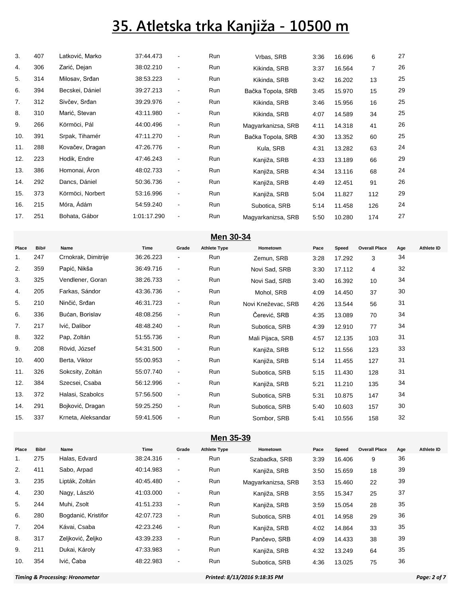| 3.  | 407 | Latković, Marko  | 37:44.473   | $\overline{\phantom{a}}$ | Run | Vrbas, SRB         | 3:36 | 16.696 | 6              | 27 |  |
|-----|-----|------------------|-------------|--------------------------|-----|--------------------|------|--------|----------------|----|--|
| 4.  | 306 | Zarić, Dejan     | 38:02.210   | $\blacksquare$           | Run | Kikinda, SRB       | 3:37 | 16.564 | $\overline{7}$ | 26 |  |
| 5.  | 314 | Milosav, Srđan   | 38:53.223   | $\blacksquare$           | Run | Kikinda, SRB       | 3:42 | 16.202 | 13             | 25 |  |
| 6.  | 394 | Becskei, Dániel  | 39:27.213   | $\blacksquare$           | Run | Bačka Topola, SRB  | 3:45 | 15.970 | 15             | 29 |  |
| 7.  | 312 | Sivčev, Srđan    | 39:29.976   | $\blacksquare$           | Run | Kikinda, SRB       | 3:46 | 15.956 | 16             | 25 |  |
| 8.  | 310 | Marić, Stevan    | 43:11.980   | $\blacksquare$           | Run | Kikinda, SRB       | 4:07 | 14.589 | 34             | 25 |  |
| 9.  | 266 | Körmöci, Pál     | 44:00.496   | $\blacksquare$           | Run | Magyarkanizsa, SRB | 4:11 | 14.318 | 41             | 26 |  |
| 10. | 391 | Srpak, Tihamér   | 47:11.270   | $\blacksquare$           | Run | Bačka Topola, SRB  | 4:30 | 13.352 | 60             | 25 |  |
| 11. | 288 | Kovačev, Dragan  | 47:26.776   | $\blacksquare$           | Run | Kula, SRB          | 4:31 | 13.282 | 63             | 24 |  |
| 12. | 223 | Hodik, Endre     | 47:46.243   | $\blacksquare$           | Run | Kanjiža, SRB       | 4:33 | 13.189 | 66             | 29 |  |
| 13. | 386 | Homonai, Aron    | 48:02.733   | $\blacksquare$           | Run | Kanjiža, SRB       | 4:34 | 13.116 | 68             | 24 |  |
| 14. | 292 | Dancs, Dániel    | 50:36.736   | $\blacksquare$           | Run | Kanjiža, SRB       | 4:49 | 12.451 | 91             | 26 |  |
| 15. | 373 | Körmöci, Norbert | 53:16.996   | $\blacksquare$           | Run | Kanjiža, SRB       | 5:04 | 11.827 | 112            | 29 |  |
| 16. | 215 | Móra, Ádám       | 54:59.240   | $\blacksquare$           | Run | Subotica, SRB      | 5:14 | 11.458 | 126            | 24 |  |
| 17. | 251 | Bohata, Gábor    | 1:01:17.290 | $\blacksquare$           | Run | Magyarkanizsa, SRB | 5:50 | 10.280 | 174            | 27 |  |
|     |     |                  |             |                          |     |                    |      |        |                |    |  |

|       | $Men30-34$ |                     |           |                |                     |                    |      |        |                      |     |            |  |  |
|-------|------------|---------------------|-----------|----------------|---------------------|--------------------|------|--------|----------------------|-----|------------|--|--|
| Place | Bib#       | Name                | Time      | Grade          | <b>Athlete Type</b> | Hometown           | Pace | Speed  | <b>Overall Place</b> | Age | Athlete ID |  |  |
| 1.    | 247        | Crnokrak, Dimitrije | 36:26.223 | $\blacksquare$ | Run                 | Zemun, SRB         | 3:28 | 17.292 | 3                    | 34  |            |  |  |
| 2.    | 359        | Papić, Nikša        | 36:49.716 | $\blacksquare$ | Run                 | Novi Sad, SRB      | 3:30 | 17.112 | 4                    | 32  |            |  |  |
| 3.    | 325        | Vendlener, Goran    | 38:26.733 | $\blacksquare$ | Run                 | Novi Sad, SRB      | 3:40 | 16.392 | 10                   | 34  |            |  |  |
| 4.    | 205        | Farkas, Sándor      | 43:36.736 | $\blacksquare$ | Run                 | Mohol, SRB         | 4:09 | 14.450 | 37                   | 30  |            |  |  |
| 5.    | 210        | Ninčić, Srđan       | 46:31.723 | $\blacksquare$ | Run                 | Novi Kneževac, SRB | 4:26 | 13.544 | 56                   | 31  |            |  |  |
| 6.    | 336        | Bućan, Borislav     | 48:08.256 | $\blacksquare$ | Run                 | Čerević, SRB       | 4:35 | 13.089 | 70                   | 34  |            |  |  |
| 7.    | 217        | Ivić, Dalibor       | 48:48.240 | $\blacksquare$ | Run                 | Subotica, SRB      | 4:39 | 12.910 | 77                   | 34  |            |  |  |
| 8.    | 322        | Pap, Zoltán         | 51:55.736 | $\blacksquare$ | Run                 | Mali Pijaca, SRB   | 4:57 | 12.135 | 103                  | 31  |            |  |  |
| 9.    | 208        | Rövid, József       | 54:31.500 | $\blacksquare$ | Run                 | Kanjiža, SRB       | 5:12 | 11.556 | 123                  | 33  |            |  |  |
| 10.   | 400        | Berta, Viktor       | 55:00.953 | $\blacksquare$ | Run                 | Kanjiža, SRB       | 5:14 | 11.455 | 127                  | 31  |            |  |  |
| 11.   | 326        | Sokcsity, Zoltán    | 55:07.740 | $\blacksquare$ | Run                 | Subotica, SRB      | 5:15 | 11.430 | 128                  | 31  |            |  |  |
| 12.   | 384        | Szecsei, Csaba      | 56:12.996 | $\blacksquare$ | Run                 | Kanjiža, SRB       | 5:21 | 11.210 | 135                  | 34  |            |  |  |
| 13.   | 372        | Halasi, Szabolcs    | 57:56.500 | $\blacksquare$ | Run                 | Subotica, SRB      | 5:31 | 10.875 | 147                  | 34  |            |  |  |
| 14.   | 291        | Bojković, Dragan    | 59:25.250 | $\blacksquare$ | Run                 | Subotica, SRB      | 5:40 | 10.603 | 157                  | 30  |            |  |  |
| 15.   | 337        | Krneta, Aleksandar  | 59:41.506 |                | Run                 | Sombor, SRB        | 5:41 | 10.556 | 158                  | 32  |            |  |  |
|       |            |                     |           |                |                     |                    |      |        |                      |     |            |  |  |

**Men** 30-34

**Men 35-39**

| Bib# | Name                | Time      | Grade                        | <b>Athlete Type</b> | Hometown      | Pace               | Speed  |    | Age                  | Athlete ID |
|------|---------------------|-----------|------------------------------|---------------------|---------------|--------------------|--------|----|----------------------|------------|
| 275  | Halas, Edvard       | 38:24.316 | $\qquad \qquad \blacksquare$ | Run                 | Szabadka, SRB | 3:39               | 16.406 | 9  | 36                   |            |
| 411  | Sabo, Arpad         | 40:14.983 | $\blacksquare$               | Run                 | Kanjiža, SRB  | 3:50               | 15.659 | 18 | 39                   |            |
| 235  | Lipták, Zoltán      | 40:45.480 | $\blacksquare$               | Run                 |               | 3:53               | 15.460 | 22 | 39                   |            |
| 230  | Nagy, László        | 41:03.000 | $\blacksquare$               | Run                 | Kanjiža, SRB  | 3:55               | 15.347 | 25 | 37                   |            |
| 244  | Muhi. Zsolt         | 41:51.233 | ٠                            | Run                 | Kanjiža, SRB  | 3:59               | 15.054 | 28 | 35                   |            |
| 280  | Bogdanić, Kristifor | 42:07.723 | ٠                            | <b>Run</b>          | Subotica, SRB | 4:01               | 14.958 | 29 | 36                   |            |
| 204  | Kávai, Csaba        | 42:23.246 | ٠                            | Run                 | Kanjiža, SRB  | 4:02               | 14.864 | 33 | 35                   |            |
| 317  | Zeljković, Željko   | 43:39.233 | $\overline{\phantom{a}}$     | Run                 | Pančevo, SRB  | 4:09               | 14.433 | 38 | 39                   |            |
| 211  | Dukai, Károly       | 47:33.983 | $\qquad \qquad \blacksquare$ | <b>Run</b>          | Kanjiža, SRB  | 4:32               | 13.249 | 64 | 35                   |            |
| 354  | Ivić, Čaba          | 48:22.983 | $\overline{\phantom{a}}$     | Run                 | Subotica, SRB | 4:36               | 13.025 | 75 | 36                   |            |
|      |                     |           |                              |                     |               | Magyarkanizsa, SRB |        |    | <b>Overall Place</b> |            |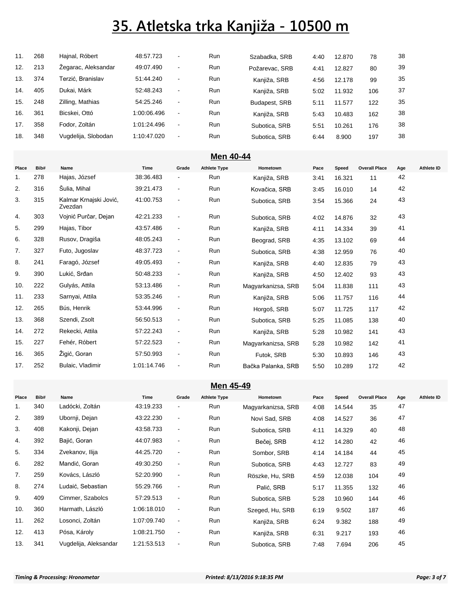| 11. | 268 | Hajnal, Róbert      | 48:57.723   | ۰                        | Run        | Szabadka, SRB  | 4:40 | 12.870 | 78  | 38 |
|-----|-----|---------------------|-------------|--------------------------|------------|----------------|------|--------|-----|----|
| 12. | 213 | Zegarac, Aleksandar | 49:07.490   | $\blacksquare$           | Run        | Požarevac, SRB | 4:41 | 12.827 | 80  | 39 |
| 13. | 374 | Ferzić. Branislav   | 51:44.240   | $\overline{\phantom{a}}$ | Run        | Kanjiža, SRB   | 4:56 | 12.178 | 99  | 35 |
| 14. | 405 | Dukai, Márk         | 52:48.243   | $\sim$                   | Run        | Kanjiža, SRB   | 5:02 | 11.932 | 106 | 37 |
| 15. | 248 | Zilling, Mathias    | 54:25.246   | $\overline{\phantom{a}}$ | Run        | Budapest, SRB  | 5:11 | 11.577 | 122 | 35 |
| 16. | 361 | Bicskei, Ottó       | 1:00:06.496 | $\overline{\phantom{a}}$ | <b>Run</b> | Kanjiža, SRB   | 5:43 | 10.483 | 162 | 38 |
| 17. | 358 | Fodor, Zoltán       | 1:01:24.496 | $\overline{\phantom{a}}$ | Run        | Subotica, SRB  | 5:51 | 10.261 | 176 | 38 |
| 18. | 348 | Vugdelija, Slobodan | 1:10:47.020 | $\blacksquare$           | <b>Run</b> | Subotica, SRB  | 6:44 | 8.900  | 197 | 38 |

| Men 40-44 |      |                                   |             |                          |                     |                    |      |        |                      |     |                   |  |
|-----------|------|-----------------------------------|-------------|--------------------------|---------------------|--------------------|------|--------|----------------------|-----|-------------------|--|
| Place     | Bib# | Name                              | Time        | Grade                    | <b>Athlete Type</b> | Hometown           | Pace | Speed  | <b>Overall Place</b> | Age | <b>Athlete ID</b> |  |
| 1.        | 278  | Hajas, József                     | 38:36.483   | $\blacksquare$           | Run                 | Kanjiža, SRB       | 3:41 | 16.321 | 11                   | 42  |                   |  |
| 2.        | 316  | Šulia, Mihal                      | 39:21.473   | $\blacksquare$           | Run                 | Kovačica, SRB      | 3:45 | 16.010 | 14                   | 42  |                   |  |
| 3.        | 315  | Kalmar Krnajski Jović,<br>Zvezdan | 41:00.753   | $\overline{\phantom{a}}$ | Run                 | Subotica, SRB      | 3:54 | 15.366 | 24                   | 43  |                   |  |
| 4.        | 303  | Vojnić Purčar, Dejan              | 42:21.233   | $\overline{\phantom{a}}$ | <b>Run</b>          | Subotica, SRB      | 4:02 | 14.876 | 32                   | 43  |                   |  |
| 5.        | 299  | Hajas, Tibor                      | 43:57.486   | $\blacksquare$           | Run                 | Kanjiža, SRB       | 4:11 | 14.334 | 39                   | 41  |                   |  |
| 6.        | 328  | Rusov, Dragiša                    | 48:05.243   | $\blacksquare$           | Run                 | Beograd, SRB       | 4:35 | 13.102 | 69                   | 44  |                   |  |
| 7.        | 327  | Futo, Jugoslav                    | 48:37.723   | $\blacksquare$           | Run                 | Subotica, SRB      | 4:38 | 12.959 | 76                   | 40  |                   |  |
| 8.        | 241  | Faragó, József                    | 49:05.493   | $\blacksquare$           | Run                 | Kanjiža, SRB       | 4:40 | 12.835 | 79                   | 43  |                   |  |
| 9.        | 390  | Lukić, Srđan                      | 50:48.233   | $\blacksquare$           | Run                 | Kanjiža, SRB       | 4:50 | 12.402 | 93                   | 43  |                   |  |
| 10.       | 222  | Gulyás, Attila                    | 53:13.486   | $\blacksquare$           | Run                 | Magyarkanizsa, SRB | 5:04 | 11.838 | 111                  | 43  |                   |  |
| 11.       | 233  | Sarnyai, Attila                   | 53:35.246   | $\overline{\phantom{a}}$ | Run                 | Kanjiža, SRB       | 5:06 | 11.757 | 116                  | 44  |                   |  |
| 12.       | 265  | Bús, Henrik                       | 53:44.996   | $\overline{\phantom{a}}$ | Run                 | Horgoš, SRB        | 5:07 | 11.725 | 117                  | 42  |                   |  |
| 13.       | 368  | Szendi, Zsolt                     | 56:50.513   | $\overline{\phantom{a}}$ | Run                 | Subotica, SRB      | 5:25 | 11.085 | 138                  | 40  |                   |  |
| 14.       | 272  | Rekecki, Attila                   | 57:22.243   | $\blacksquare$           | Run                 | Kanjiža, SRB       | 5:28 | 10.982 | 141                  | 43  |                   |  |
| 15.       | 227  | Fehér, Róbert                     | 57:22.523   | $\blacksquare$           | <b>Run</b>          | Magyarkanizsa, SRB | 5:28 | 10.982 | 142                  | 41  |                   |  |
| 16.       | 365  | Žigić, Goran                      | 57:50.993   | $\blacksquare$           | Run                 | Futok, SRB         | 5:30 | 10.893 | 146                  | 43  |                   |  |
| 17.       | 252  | Bulaic, Vladimir                  | 1:01:14.746 | $\overline{\phantom{0}}$ | Run                 | Bačka Palanka, SRB | 5:50 | 10.289 | 172                  | 42  |                   |  |

#### **Men 45-49**

| Place | Bib# | Name                  | Time        | Grade                    | <b>Athlete Type</b> | Hometown           | Pace | Speed  | <b>Overall Place</b> | Age | Athlete ID |
|-------|------|-----------------------|-------------|--------------------------|---------------------|--------------------|------|--------|----------------------|-----|------------|
| 1.    | 340  | Ladócki, Zoltán       | 43:19.233   | $\blacksquare$           | Run                 | Magyarkanizsa, SRB | 4:08 | 14.544 | 35                   | 47  |            |
| 2.    | 389  | Ubornji, Dejan        | 43:22.230   | $\blacksquare$           | Run                 | Novi Sad, SRB      | 4:08 | 14.527 | 36                   | 47  |            |
| 3.    | 408  | Kakonji, Dejan        | 43:58.733   | $\blacksquare$           | Run                 | Subotica, SRB      | 4:11 | 14.329 | 40                   | 48  |            |
| 4.    | 392  | Bajić, Goran          | 44:07.983   | $\overline{\phantom{a}}$ | Run                 | Bečej, SRB         | 4:12 | 14.280 | 42                   | 46  |            |
| 5.    | 334  | Zvekanov, Ilija       | 44:25.720   | $\blacksquare$           | Run                 | Sombor, SRB        | 4:14 | 14.184 | 44                   | 45  |            |
| 6.    | 282  | Mandić, Goran         | 49:30.250   | $\blacksquare$           | Run                 | Subotica, SRB      | 4.43 | 12.727 | 83                   | 49  |            |
| 7.    | 259  | Kovács, László        | 52:20.990   | $\blacksquare$           | Run                 | Röszke, Hu, SRB    | 4:59 | 12.038 | 104                  | 49  |            |
| 8.    | 274  | Ludaić, Sebastian     | 55:29.766   | $\blacksquare$           | Run                 | Palić, SRB         | 5:17 | 11.355 | 132                  | 46  |            |
| 9.    | 409  | Cimmer, Szabolcs      | 57:29.513   | $\blacksquare$           | Run                 | Subotica, SRB      | 5:28 | 10.960 | 144                  | 46  |            |
| 10.   | 360  | Harmath, László       | 1:06:18.010 | $\blacksquare$           | Run                 | Szeged, Hu, SRB    | 6:19 | 9.502  | 187                  | 46  |            |
| 11.   | 262  | Losonci, Zoltán       | 1:07:09.740 | $\blacksquare$           | Run                 | Kanjiža, SRB       | 6:24 | 9.382  | 188                  | 49  |            |
| 12.   | 413  | Pósa, Károly          | 1:08:21.750 | $\blacksquare$           | Run                 | Kanjiža, SRB       | 6:31 | 9.217  | 193                  | 46  |            |
| 13.   | 341  | Vugdelija, Aleksandar | 1:21:53.513 | $\blacksquare$           | Run                 | Subotica, SRB      | 7:48 | 7.694  | 206                  | 45  |            |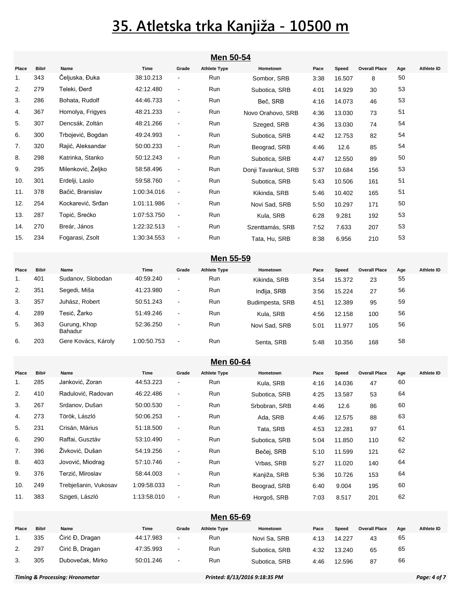|             | Men 50-54   |                           |                   |                                   |                            |                              |      |                 |                            |           |                   |  |
|-------------|-------------|---------------------------|-------------------|-----------------------------------|----------------------------|------------------------------|------|-----------------|----------------------------|-----------|-------------------|--|
| Place       | Bib#        | Name                      | Time              | Grade                             | <b>Athlete Type</b>        | Hometown                     | Pace | Speed           | <b>Overall Place</b>       | Age       | <b>Athlete ID</b> |  |
| 1.          | 343         | Čeljuska, Đuka            | 38:10.213         | $\overline{\phantom{a}}$          | Run                        | Sombor, SRB                  | 3:38 | 16.507          | 8                          | 50        |                   |  |
| 2.          | 279         | Teleki, Đerđ              | 42:12.480         | $\overline{\phantom{a}}$          | Run                        | Subotica, SRB                | 4:01 | 14.929          | 30                         | 53        |                   |  |
| 3.          | 286         | Bohata, Rudolf            | 44:46.733         | $\blacksquare$                    | Run                        | Beč, SRB                     | 4:16 | 14.073          | 46                         | 53        |                   |  |
| 4.          | 367         | Homolya, Frigyes          | 48:21.233         | $\blacksquare$                    | Run                        | Novo Orahovo, SRB            | 4:36 | 13.030          | 73                         | 51        |                   |  |
| 5.          | 307         | Dencsák, Zoltán           | 48:21.266         | $\blacksquare$                    | Run                        | Szeged, SRB                  | 4:36 | 13.030          | 74                         | 54        |                   |  |
| 6.          | 300         | Trbojević, Bogdan         | 49:24.993         | $\blacksquare$                    | Run                        | Subotica, SRB                | 4:42 | 12.753          | 82                         | 54        |                   |  |
| 7.          | 320         | Rajić, Aleksandar         | 50:00.233         | $\blacksquare$                    | Run                        | Beograd, SRB                 | 4:46 | 12.6            | 85                         | 54        |                   |  |
| 8.          | 298         | Katrinka, Stanko          | 50:12.243         | $\blacksquare$                    | Run                        | Subotica, SRB                | 4:47 | 12.550          | 89                         | 50        |                   |  |
| 9.          | 295         | Milenković, Željko        | 58:58.496         | $\blacksquare$                    | Run                        | Donji Tavankut, SRB          | 5:37 | 10.684          | 156                        | 53        |                   |  |
| 10.         | 301         | Erdelji, Laslo            | 59:58.760         | $\blacksquare$                    | Run                        | Subotica, SRB                | 5:43 | 10.506          | 161                        | 51        |                   |  |
| 11.         | 378         | Bačić, Branislav          | 1:00:34.016       | $\blacksquare$                    | Run                        | Kikinda, SRB                 | 5:46 | 10.402          | 165                        | 51        |                   |  |
| 12.         | 254         | Kockarević, Srđan         | 1:01:11.986       | $\blacksquare$                    | Run                        | Novi Sad, SRB                | 5:50 | 10.297          | 171                        | 50        |                   |  |
| 13.         | 287         | Topić, Srećko             | 1:07:53.750       | $\blacksquare$                    | Run                        | Kula, SRB                    | 6:28 | 9.281           | 192                        | 53        |                   |  |
| 14.         | 270         | Breár, János              | 1:22:32.513       | $\blacksquare$                    | Run                        | Szenttamás, SRB              | 7:52 | 7.633           | 207                        | 53        |                   |  |
| 15.         | 234         | Fogarasi, Zsolt           | 1:30:34.553       | $\blacksquare$                    | Run                        | Tata, Hu, SRB                | 8:38 | 6.956           | 210                        | 53        |                   |  |
|             |             |                           |                   |                                   |                            |                              |      |                 |                            |           |                   |  |
|             |             |                           |                   |                                   | Men 55-59                  |                              |      |                 |                            |           |                   |  |
| Place<br>1. | Bib#<br>401 | Name<br>Sudanov, Slobodan | Time<br>40:59.240 | Grade<br>$\overline{\phantom{a}}$ | <b>Athlete Type</b><br>Run | Hometown<br>Kikinda, SRB     | Pace | Speed<br>15.372 | <b>Overall Place</b><br>23 | Age<br>55 | <b>Athlete ID</b> |  |
| 2.          | 351         | Segedi, Miša              | 41:23.980         | $\blacksquare$                    | Run                        |                              | 3:54 | 15.224          | 27                         | 56        |                   |  |
| 3.          | 357         | Juhász, Robert            | 50:51.243         | $\blacksquare$                    | Run                        | Indija, SRB                  | 3:56 | 12.389          | 95                         | 59        |                   |  |
| 4.          | 289         | Tesić, Žarko              | 51:49.246         | $\blacksquare$                    | Run                        | Budimpesta, SRB<br>Kula, SRB | 4:51 |                 | 100                        | 56        |                   |  |
| 5.          | 363         | Gurung, Khop              | 52:36.250         | $\blacksquare$                    | Run                        |                              | 4:56 | 12.158          |                            | 56        |                   |  |
|             |             | <b>Bahadur</b>            |                   |                                   |                            | Novi Sad, SRB                | 5:01 | 11.977          | 105                        |           |                   |  |
| 6.          | 203         | Gere Kovács, Károly       | 1:00:50.753       | $\blacksquare$                    | Run                        | Senta, SRB                   | 5:48 | 10.356          | 168                        | 58        |                   |  |
|             |             |                           |                   |                                   | <b>Men 60-64</b>           |                              |      |                 |                            |           |                   |  |
| Place       | Bib#        | Name                      | Time              | Grade                             | <b>Athlete Type</b>        | Hometown                     | Pace | Speed           | <b>Overall Place</b>       | Age       | <b>Athlete ID</b> |  |
| 1.          | 285         | Janković, Zoran           | 44:53.223         | $\blacksquare$                    | Run                        | Kula, SRB                    | 4:16 | 14.036          | 47                         | 60        |                   |  |
| 2.          | 410         | Radulović, Radovan        | 46:22.486         | $\blacksquare$                    | Run                        | Subotica, SRB                | 4:25 | 13.587          | 53                         | 64        |                   |  |
| 3.          | 267         | Srdanov, Dušan            | 50:00.530         | $\qquad \qquad \blacksquare$      | Run                        | Srbobran, SRB                | 4:46 | 12.6            | 86                         | 60        |                   |  |
| 4.          | 273         | Török, László             | 50:06.253         | $\blacksquare$                    | Run                        | Ada, SRB                     | 4:46 | 12.575          | 88                         | 63        |                   |  |
| 5.          | 231         | Crisán, Márius            | 51:18.500         |                                   | Run                        | Tata, SRB                    | 4:53 | 12.281          | 97                         | 61        |                   |  |
| 6.          | 290         | Raffai, Gusztáv           | 53:10.490         | $\blacksquare$                    | Run                        | Subotica, SRB                | 5:04 | 11.850          | 110                        | 62        |                   |  |
| 7.          | 396         | Živković, Dušan           | 54:19.256         | $\blacksquare$                    | Run                        | Bečej, SRB                   | 5:10 | 11.599          | 121                        | 62        |                   |  |
| 8.          | 403         | Jovović, Miodrag          | 57:10.746         | $\blacksquare$                    | Run                        | Vrbas, SRB                   | 5:27 | 11.020          | 140                        | 64        |                   |  |
| 9.          | 376         | Terzić, Miroslav          | 58:44.003         | $\blacksquare$                    | Run                        | Kanjiža, SRB                 | 5:36 | 10.726          | 153                        | 64        |                   |  |
| 10.         | 249         | Trebješanin, Vukosav      | 1:09:58.033       | $\blacksquare$                    | Run                        | Beograd, SRB                 | 6:40 | 9.004           | 195                        | 60        |                   |  |
| 11.         | 383         | Szigeti, László           | 1:13:58.010       | $\blacksquare$                    | Run                        | Horgoš, SRB                  | 7:03 | 8.517           | 201                        | 62        |                   |  |
|             |             |                           |                   |                                   | Men 65-69                  |                              |      |                 |                            |           |                   |  |
|             |             |                           |                   |                                   |                            |                              |      |                 |                            |           |                   |  |

| Place | Bib# | Name             | Time      | Grade                    | <b>Athlete Type</b> | Hometown      | Pace | Speed  | <b>Overall Place</b> | Age | Athlete ID |
|-------|------|------------------|-----------|--------------------------|---------------------|---------------|------|--------|----------------------|-----|------------|
|       | 335  | Cirić Đ, Dragan  | 44:17.983 | $\blacksquare$           | Run                 | Novi Sa, SRB  | 4:13 | 14.227 | 43                   | 65  |            |
| 2.    | 297  | Cirić B, Dragan  | 47:35.993 | $\sim$                   | Run                 | Subotica, SRB | 4:32 | 13.240 | 65                   | 65  |            |
| 3.    | 305  | Dubovečak, Mirko | 50:01.246 | $\overline{\phantom{a}}$ | Run                 | Subotica, SRB | 4:46 | 12.596 | 87                   | 66  |            |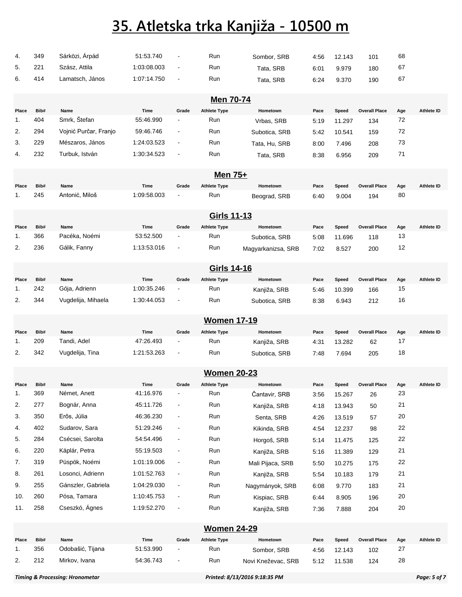| 4.          | 349         | Sárközi, Árpád         | 51:53.740           | $\blacksquare$                    | Run                        | Sombor, SRB        | 4:56 | 12.143 | 101                  | 68        |                   |
|-------------|-------------|------------------------|---------------------|-----------------------------------|----------------------------|--------------------|------|--------|----------------------|-----------|-------------------|
| 5.          | 221         | Szász, Attila          | 1:03:08.003         | $\blacksquare$                    | Run                        | Tata, SRB          | 6:01 | 9.979  | 180                  | 67        |                   |
| 6.          | 414         | Lamatsch, János        | 1:07:14.750         | $\blacksquare$                    | Run                        | Tata, SRB          | 6:24 | 9.370  | 190                  | 67        |                   |
|             |             |                        |                     |                                   |                            |                    |      |        |                      |           |                   |
|             |             |                        |                     |                                   | <b>Men 70-74</b>           |                    |      |        |                      |           |                   |
| Place       | Bib#        | Name                   | Time                | Grade                             | <b>Athlete Type</b>        | Hometown           | Pace | Speed  | <b>Overall Place</b> | Age       | <b>Athlete ID</b> |
| 1.          | 404         | Smrk, Štefan           | 55:46.990           |                                   | Run                        | Vrbas, SRB         | 5:19 | 11.297 | 134                  | 72        |                   |
| 2.          | 294         | Vojnić Purčar, Franjo  | 59:46.746           | $\blacksquare$                    | Run                        | Subotica, SRB      | 5:42 | 10.541 | 159                  | 72        |                   |
| 3.          | 229         | Mészaros, János        | 1:24:03.523         | $\blacksquare$                    | Run                        | Tata, Hu, SRB      | 8:00 | 7.496  | 208                  | 73        |                   |
| 4.          | 232         | Turbuk, István         | 1:30:34.523         | $\blacksquare$                    | Run                        | Tata, SRB          | 8:38 | 6.956  | 209                  | 71        |                   |
|             |             |                        |                     |                                   |                            |                    |      |        |                      |           |                   |
|             |             |                        |                     |                                   | Men 75+                    |                    |      |        |                      |           |                   |
| Place<br>1. | Bib#<br>245 | Name<br>Antonić, Miloš | Time<br>1:09:58.003 | Grade<br>$\overline{\phantom{a}}$ | <b>Athlete Type</b><br>Run | Hometown           | Pace | Speed  | <b>Overall Place</b> | Age<br>80 | <b>Athlete ID</b> |
|             |             |                        |                     |                                   |                            | Beograd, SRB       | 6:40 | 9.004  | 194                  |           |                   |
|             |             |                        |                     |                                   | <b>Girls 11-13</b>         |                    |      |        |                      |           |                   |
| Place       | Bib#        | Name                   | Time                | Grade                             | <b>Athlete Type</b>        | Hometown           | Pace | Speed  | <b>Overall Place</b> | Age       | <b>Athlete ID</b> |
| 1.          | 366         | Pacéka, Noémi          | 53:52.500           | $\overline{\phantom{a}}$          | Run                        | Subotica, SRB      | 5:08 | 11.696 | 118                  | 13        |                   |
| 2.          | 236         | Gálik, Fanny           | 1:13:53.016         | $\overline{\phantom{a}}$          | Run                        | Magyarkanizsa, SRB | 7:02 | 8.527  | 200                  | 12        |                   |
|             |             |                        |                     |                                   |                            |                    |      |        |                      |           |                   |
|             |             |                        |                     |                                   | Girls 14-16                |                    |      |        |                      |           |                   |
| Place       | Bib#        | Name                   | Time                | Grade                             | <b>Athlete Type</b>        | Hometown           | Pace | Speed  | <b>Overall Place</b> | Age       | Athlete ID        |
| 1.          | 242         | Gója, Adrienn          | 1:00:35.246         |                                   | Run                        | Kanjiža, SRB       | 5:46 | 10.399 | 166                  | 15        |                   |
| 2.          | 344         | Vugdelija, Mihaela     | 1:30:44.053         | $\overline{\phantom{a}}$          | Run                        | Subotica, SRB      | 8:38 | 6.943  | 212                  | 16        |                   |
|             |             |                        |                     |                                   | <b>Women 17-19</b>         |                    |      |        |                      |           |                   |
| Place       | Bib#        | Name                   | Time                | Grade                             | <b>Athlete Type</b>        | Hometown           | Pace | Speed  | <b>Overall Place</b> | Age       | Athlete ID        |
| 1.          | 209         | Tandi, Adel            | 47:26.493           | $\overline{\phantom{a}}$          | Run                        | Kanjiža, SRB       | 4:31 | 13.282 | 62                   | 17        |                   |
| 2.          | 342         | Vugdelija, Tina        | 1:21:53.263         | $\blacksquare$                    | Run                        | Subotica, SRB      | 7:48 | 7.694  | 205                  | 18        |                   |
|             |             |                        |                     |                                   |                            |                    |      |        |                      |           |                   |
|             |             |                        |                     |                                   | <b>Women 20-23</b>         |                    |      |        |                      |           |                   |
| Place       | Bib#        | Name                   | Time                | Grade                             | <b>Athlete Type</b>        | Hometown           | Pace | Speed  | <b>Overall Place</b> | Age       | Athlete ID        |
| 1.          | 369         | Német, Anett           | 41:16.976           | $\blacksquare$                    | Run                        | Čantavir, SRB      | 3:56 | 15.267 | 26                   | 23        |                   |
| 2.          | 277         | Bognár, Anna           | 45:11.726           | $\blacksquare$                    | Run                        | Kanjiža, SRB       | 4:18 | 13.943 | 50                   | 21        |                   |
| 3.          | 350         | Erős, Júlia            | 46:36.230           | $\blacksquare$                    | Run                        | Senta, SRB         | 4:26 | 13.519 | 57                   | 20        |                   |
| 4.          | 402         | Sudarov, Sara          | 51:29.246           | $\blacksquare$                    | Run                        | Kikinda, SRB       | 4:54 | 12.237 | 98                   | 22        |                   |
| 5.          | 284         | Csécsei, Sarolta       | 54:54.496           | $\overline{\phantom{a}}$          | Run                        | Horgoš, SRB        | 5:14 | 11.475 | 125                  | 22        |                   |
| 6.          | 220         | Káplár, Petra          | 55:19.503           | $\blacksquare$                    | Run                        | Kanjiža, SRB       | 5:16 | 11.389 | 129                  | 21        |                   |
| 7.          | 319         | Püspök, Noémi          | 1:01:19.006         | $\blacksquare$                    | Run                        | Mali Pijaca, SRB   | 5:50 | 10.275 | 175                  | 22        |                   |
| 8.          | 261         | Losonci, Adrienn       | 1:01:52.763         | $\blacksquare$                    | Run                        | Kanjiža, SRB       | 5:54 | 10.183 | 179                  | 21        |                   |
| 9.          | 255         | Gánszler, Gabriela     | 1:04:29.030         | $\blacksquare$                    | Run                        | Nagymányok, SRB    | 6:08 | 9.770  | 183                  | 21        |                   |
| 10.         | 260         | Pósa, Tamara           | 1:10:45.753         | $\blacksquare$                    | Run                        | Kispiac, SRB       | 6:44 | 8.905  | 196                  | 20        |                   |
| 11.         | 258         | Cseszkó, Ágnes         | 1:19:52.270         | $\blacksquare$                    | Run                        | Kanjiža, SRB       | 7:36 | 7.888  | 204                  | 20        |                   |
|             |             |                        |                     |                                   | <b>Women 24-29</b>         |                    |      |        |                      |           |                   |
| Place       | Bib#        | Name                   | Time                | Grade                             | <b>Athlete Type</b>        | Hometown           | Pace | Speed  | <b>Overall Place</b> | Age       | Athlete ID        |
| 1.          | 356         | Odobašić, Tijana       | 51:53.990           |                                   | Run                        | Sombor, SRB        | 4:56 | 12.143 | 102                  | 27        |                   |
| 2.          | 212         | Mirkov, Ivana          | 54:36.743           | $\blacksquare$                    | Run                        | Novi Kneževac, SRB | 5:12 | 11.538 | 124                  | 28        |                   |
|             |             |                        |                     |                                   |                            |                    |      |        |                      |           |                   |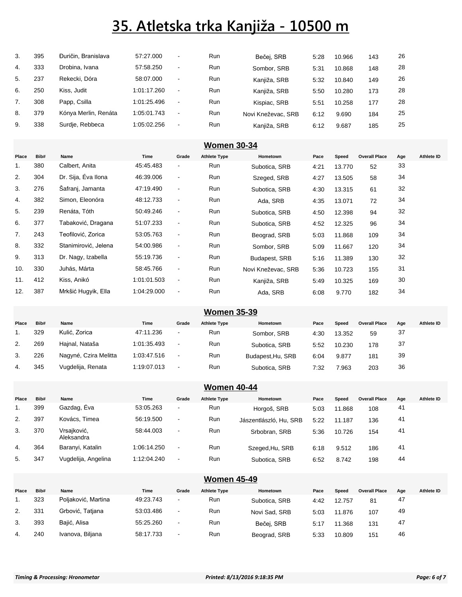| 3. | 395 | Duričin, Branislava  | 57:27.000   | $\blacksquare$           | <b>Run</b> | Bečei, SRB         | 5:28 | 10.966 | 143 | 26 |
|----|-----|----------------------|-------------|--------------------------|------------|--------------------|------|--------|-----|----|
| 4. | 333 | Drobina, Ivana       | 57:58.250   | $\blacksquare$           | <b>Run</b> | Sombor, SRB        | 5:31 | 10.868 | 148 | 28 |
| 5. | 237 | Rekecki, Dóra        | 58:07.000   | $\sim$                   | <b>Run</b> | Kanjiža, SRB       | 5:32 | 10.840 | 149 | 26 |
| 6. | 250 | Kiss, Judit          | 1:01:17.260 | $\sim$                   | <b>Run</b> | Kanjiža, SRB       | 5:50 | 10.280 | 173 | 28 |
| 7. | 308 | Papp, Csilla         | 1:01:25.496 | $\blacksquare$           | <b>Run</b> | Kispiac, SRB       | 5:51 | 10.258 | 177 | 28 |
| 8. | 379 | Kónya Merlin, Renáta | 1:05:01.743 | $\overline{\phantom{a}}$ | <b>Run</b> | Novi Kneževac, SRB | 6:12 | 9.690  | 184 | 25 |
| 9. | 338 | Surdie, Rebbeca      | 1:05:02.256 | $\,$                     | <b>Run</b> | Kanjiža, SRB       | 6:12 | 9.687  | 185 | 25 |

|       | <b>Women 30-34</b> |                      |             |                          |                     |                    |      |        |                      |     |            |  |
|-------|--------------------|----------------------|-------------|--------------------------|---------------------|--------------------|------|--------|----------------------|-----|------------|--|
| Place | Bib#               | Name                 | Time        | Grade                    | <b>Athlete Type</b> | Hometown           | Pace | Speed  | <b>Overall Place</b> | Age | Athlete ID |  |
| 1.    | 380                | Calbert, Anita       | 45:45.483   | $\blacksquare$           | Run                 | Subotica, SRB      | 4:21 | 13.770 | 52                   | 33  |            |  |
| 2.    | 304                | Dr. Sija, Éva Ilona  | 46:39.006   | $\blacksquare$           | Run                 | Szeged, SRB        | 4:27 | 13.505 | 58                   | 34  |            |  |
| 3.    | 276                | Šafranj, Jamanta     | 47:19.490   | $\blacksquare$           | Run                 | Subotica, SRB      | 4:30 | 13.315 | 61                   | 32  |            |  |
| 4.    | 382                | Simon, Eleonóra      | 48:12.733   | $\blacksquare$           | Run                 | Ada, SRB           | 4:35 | 13.071 | 72                   | 34  |            |  |
| 5.    | 239                | Renáta, Tóth         | 50:49.246   | $\blacksquare$           | Run                 | Subotica, SRB      | 4:50 | 12.398 | 94                   | 32  |            |  |
| 6.    | 377                | Tabaković, Dragana   | 51:07.233   | $\overline{\phantom{a}}$ | Run                 | Subotica, SRB      | 4:52 | 12.325 | 96                   | 34  |            |  |
| 7.    | 243                | Teofilović, Zorica   | 53:05.763   | $\blacksquare$           | Run                 | Beograd, SRB       | 5:03 | 11.868 | 109                  | 34  |            |  |
| 8.    | 332                | Stanimirović, Jelena | 54:00.986   | $\blacksquare$           | Run                 | Sombor, SRB        | 5:09 | 11.667 | 120                  | 34  |            |  |
| 9.    | 313                | Dr. Nagy, Izabella   | 55:19.736   | $\blacksquare$           | Run                 | Budapest, SRB      | 5:16 | 11.389 | 130                  | 32  |            |  |
| 10.   | 330                | Juhás, Márta         | 58:45.766   | $\blacksquare$           | Run                 | Novi Kneževac, SRB | 5:36 | 10.723 | 155                  | 31  |            |  |
| 11.   | 412                | Kiss, Anikó          | 1:01:01.503 | $\blacksquare$           | Run                 | Kanjiža, SRB       | 5:49 | 10.325 | 169                  | 30  |            |  |
| 12.   | 387                | Mrkšić Hugyik, Ella  | 1:04:29.000 | $\overline{\phantom{a}}$ | Run                 | Ada, SRB           | 6:08 | 9.770  | 182                  | 34  |            |  |

#### **Women 35-39**

| Place | Bib# | Name                  | Time        | Grade          | <b>Athlete Type</b> | Hometown          | Pace | Speed  | <b>Overall Place</b> | Aae | Athlete ID |
|-------|------|-----------------------|-------------|----------------|---------------------|-------------------|------|--------|----------------------|-----|------------|
|       | 329  | Kulić, Zorica         | 47:11.236   | $\sim$         | Run                 | Sombor, SRB       | 4:30 | 13.352 | 59                   | -37 |            |
| 2.    | 269  | Hajnal, Nataša        | 1:01:35.493 | $\sim$         | Run                 | Subotica, SRB     | 5:52 | 10.230 | 178                  | -37 |            |
| 3.    | 226  | Nagyné, Czira Melitta | 1:03:47.516 | $\blacksquare$ | Run                 | Budapest, Hu, SRB | 6:04 | 9.877  | 181                  | 39  |            |
| 4.    | 345  | Vugdelija, Renata     | 1:19:07.013 | $\blacksquare$ | Run                 | Subotica, SRB     | 7:32 | 7.963  | 203                  | 36  |            |

#### **Women 40-44**

| Place | Bib# | Name                      | Time        | Grade                    | <b>Athlete Type</b> | Hometown               | Pace | Speed  | <b>Overall Place</b> | Age | Athlete ID |
|-------|------|---------------------------|-------------|--------------------------|---------------------|------------------------|------|--------|----------------------|-----|------------|
|       | 399  | Gazdag, Eva               | 53:05.263   | $\overline{\phantom{a}}$ | <b>Run</b>          | Horgoš, SRB            | 5:03 | 11.868 | 108                  | 41  |            |
| 2.    | 397  | Kovács, Timea             | 56:19.500   | $\sim$                   | <b>Run</b>          | Jászentlászló, Hu. SRB | 5:22 | 11.187 | 136                  | 41  |            |
| 3.    | 370  | Vrsajković,<br>Aleksandra | 58:44.003   | $\sim$                   | <b>Run</b>          | Srbobran, SRB          | 5:36 | 10.726 | 154                  | 41  |            |
| 4.    | 364  | Baranyi, Katalin          | 1:06:14.250 | $\sim$                   | <b>Run</b>          | Szeged, Hu, SRB        | 6:18 | 9.512  | 186                  | 41  |            |
| 5.    | 347  | Vugdelija, Angelina       | 1:12:04.240 | $\sim$                   | Run                 | Subotica, SRB          | 6:52 | 8.742  | 198                  | 44  |            |

| <b>Women 45-49</b> |      |                     |           |                          |                     |               |      |        |                      |     |            |
|--------------------|------|---------------------|-----------|--------------------------|---------------------|---------------|------|--------|----------------------|-----|------------|
| Place              | Bib# | Name                | Time      | Grade                    | <b>Athlete Type</b> | Hometown      | Pace | Speed  | <b>Overall Place</b> | Age | Athlete ID |
|                    | 323  | Poljaković, Martina | 49:23.743 | $\overline{\phantom{a}}$ | Run                 | Subotica, SRB | 4:42 | 12.757 | 81                   | 47  |            |
| 2.                 | 331  | Grbović, Tatjana    | 53:03.486 | $\overline{\phantom{a}}$ | <b>Run</b>          | Novi Sad, SRB | 5:03 | 11.876 | 107                  | 49  |            |
| 3.                 | 393  | Bajić, Alisa        | 55:25.260 | $\overline{\phantom{a}}$ | <b>Run</b>          | Bečej, SRB    | 5:17 | 11.368 | 131                  | 47  |            |
| 4.                 | 240  | Ivanova, Biljana    | 58:17.733 | $\overline{\phantom{a}}$ | <b>Run</b>          | Beograd, SRB  | 5:33 | 10.809 | 151                  | 46  |            |